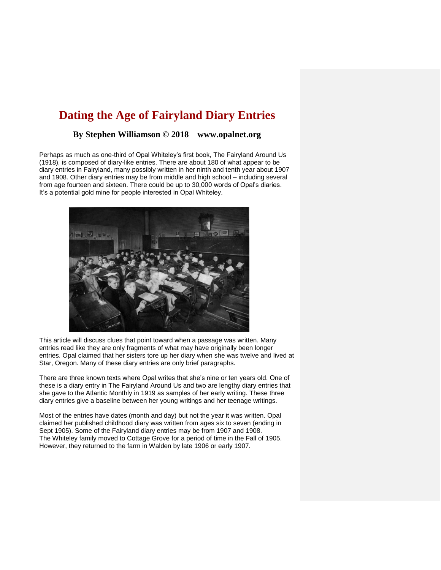# **Dating the Age of Fairyland Diary Entries**

## **By Stephen Williamson © 2018 www.opalnet.org**

Perhaps as much as one-third of Opal Whiteley's first book, The Fairyland Around Us (1918), is composed of diary-like entries. There are about 180 of what appear to be diary entries in Fairyland, many possibly written in her ninth and tenth year about 1907 and 1908. Other diary entries may be from middle and high school – including several from age fourteen and sixteen. There could be up to 30,000 words of Opal's diaries. It's a potential gold mine for people interested in Opal Whiteley.



This article will discuss clues that point toward when a passage was written. Many entries read like they are only fragments of what may have originally been longer entries. Opal claimed that her sisters tore up her diary when she was twelve and lived at Star, Oregon. Many of these diary entries are only brief paragraphs.

There are three known texts where Opal writes that she's nine or ten years old. One of these is a diary entry in The Fairyland Around Us and two are lengthy diary entries that she gave to the Atlantic Monthly in 1919 as samples of her early writing. These three diary entries give a baseline between her young writings and her teenage writings.

Most of the entries have dates (month and day) but not the year it was written. Opal claimed her published childhood diary was written from ages six to seven (ending in Sept 1905). Some of the Fairyland diary entries may be from 1907 and 1908. The Whiteley family moved to Cottage Grove for a period of time in the Fall of 1905. However, they returned to the farm in Walden by late 1906 or early 1907.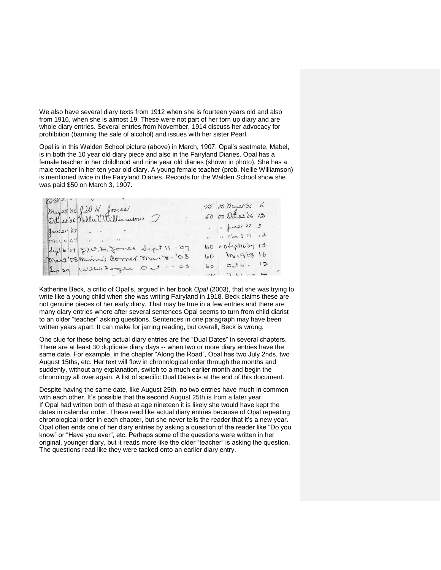We also have several diary texts from 1912 when she is fourteen years old and also from 1916, when she is almost 19. These were not part of her torn up diary and are whole diary entries. Several entries from November, 1914 discuss her advocacy for prohibition (banning the sale of alcohol) and issues with her sister Pearl.

Opal is in this Walden School picture (above) in March, 1907. Opal's seatmate, Mabel, is in both the 10 year old diary piece and also in the Fairyland Diaries. Opal has a female teacher in her childhood and nine year old diaries (shown in photo). She has a male teacher in her ten year old diary. A young female teacher (prob. Nellie Williamson) is mentioned twice in the Fairyland Diaries. Records for the Walden School show she was paid \$50 on March 3, 1907.

May 28'06 J.W. H. Jones 1990 15 00 May 28'06 6.<br>Oct 22'06 Nellie V. Williamson 7 50 00 Oct 22'06 12  $\frac{1}{2}$  ...  $\int$  aw 2/07 3  $\int \frac{1}{2}u^2 \, du = \int \frac{1}{2}u^2 \, du = \int \frac{1}{2}u^2 \, du = \int \frac{1}{2}u^2 \, du = \int \frac{1}{2}u^2 \, du = \int \frac{1}{2}u^2 \, du = \int \frac{1}{2}u^2 \, du = \int \frac{1}{2}u^2 \, du = \int \frac{1}{2}u^2 \, du = \int \frac{1}{2}u^2 \, du = \int \frac{1}{2}u^2 \, du = \int \frac{1}{2}u^2 \, du = \int \frac{1}{2}u^2 \, du = \int \frac{1}{2}u^2$  $\int_{0}^{1}$   $\int_{0}^{\frac{\pi}{2}}$   $\int_{0}^{\frac{\pi}{2}}$ Mar 40 1 8 10. H. Jones Sept 11 - 07 bo orderstible 12 Mars 08 Minute Corner Mar 5 - 108 60 marq'08 16 60, Oct 5 . 12 Sup 20. Willistogle Oct 1 - 08  $H = \frac{1}{2}H + \frac{1}{2}H$ 

Katherine Beck, a critic of Opal's, argued in her book *Opal* (2003), that she was trying to write like a young child when she was writing Fairyland in 1918. Beck claims these are not genuine pieces of her early diary. That may be true in a few entries and there are many diary entries where after several sentences Opal seems to turn from child diarist to an older "teacher" asking questions. Sentences in one paragraph may have been written years apart. It can make for jarring reading, but overall, Beck is wrong.

One clue for these being actual diary entries are the "Dual Dates" in several chapters. There are at least 30 duplicate diary days -- when two or more diary entries have the same date. For example, in the chapter "Along the Road", Opal has two July 2nds, two August 15ths, etc. Her text will flow in chronological order through the months and suddenly, without any explanation, switch to a much earlier month and begin the chronology all over again. A list of specific Dual Dates is at the end of this document.

Despite having the same date, like August 25th, no two entries have much in common with each other. It's possible that the second August 25th is from a later year. If Opal had written both of these at age nineteen it is likely she would have kept the dates in calendar order. These read like actual diary entries because of Opal repeating chronological order in each chapter, but she never tells the reader that it's a new year. Opal often ends one of her diary entries by asking a question of the reader like "Do you know" or "Have you ever", etc. Perhaps some of the questions were written in her original, younger diary, but it reads more like the older "teacher" is asking the question. The questions read like they were tacked onto an earlier diary entry.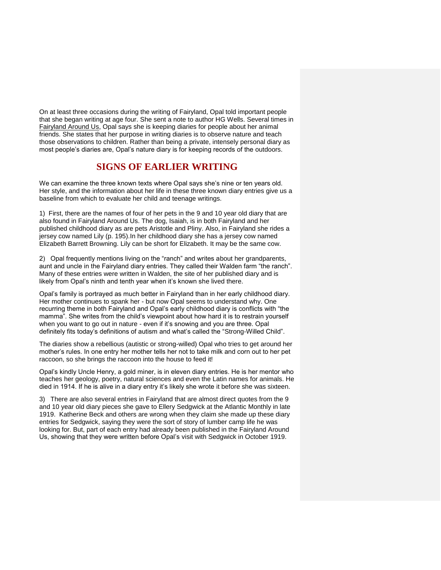On at least three occasions during the writing of Fairyland, Opal told important people that she began writing at age four. She sent a note to author HG Wells. Several times in Fairyland Around Us, Opal says she is keeping diaries for people about her animal friends. She states that her purpose in writing diaries is to observe nature and teach those observations to children. Rather than being a private, intensely personal diary as most people's diaries are, Opal's nature diary is for keeping records of the outdoors.

## **SIGNS OF EARLIER WRITING**

We can examine the three known texts where Opal says she's nine or ten years old. Her style, and the information about her life in these three known diary entries give us a baseline from which to evaluate her child and teenage writings.

1) First, there are the names of four of her pets in the 9 and 10 year old diary that are also found in Fairyland Around Us. The dog, Isaiah, is in both Fairyland and her published childhood diary as are pets Aristotle and Pliny. Also, in Fairyland she rides a jersey cow named Lily (p. 195).In her childhood diary she has a jersey cow named Elizabeth Barrett Browning. Lily can be short for Elizabeth. It may be the same cow.

2) Opal frequently mentions living on the "ranch" and writes about her grandparents, aunt and uncle in the Fairyland diary entries. They called their Walden farm "the ranch". Many of these entries were written in Walden, the site of her published diary and is likely from Opal's ninth and tenth year when it's known she lived there.

Opal's family is portrayed as much better in Fairyland than in her early childhood diary. Her mother continues to spank her - but now Opal seems to understand why. One recurring theme in both Fairyland and Opal's early childhood diary is conflicts with "the mamma". She writes from the child's viewpoint about how hard it is to restrain yourself when you want to go out in nature - even if it's snowing and you are three. Opal definitely fits today's definitions of autism and what's called the "Strong-Willed Child".

The diaries show a rebellious (autistic or strong-willed) Opal who tries to get around her mother's rules. In one entry her mother tells her not to take milk and corn out to her pet raccoon, so she brings the raccoon into the house to feed it!

Opal's kindly Uncle Henry, a gold miner, is in eleven diary entries. He is her mentor who teaches her geology, poetry, natural sciences and even the Latin names for animals. He died in 1914. If he is alive in a diary entry it's likely she wrote it before she was sixteen.

3) There are also several entries in Fairyland that are almost direct quotes from the 9 and 10 year old diary pieces she gave to Ellery Sedgwick at the Atlantic Monthly in late 1919. Katherine Beck and others are wrong when they claim she made up these diary entries for Sedgwick, saying they were the sort of story of lumber camp life he was looking for. But, part of each entry had already been published in the Fairyland Around Us, showing that they were written before Opal's visit with Sedgwick in October 1919.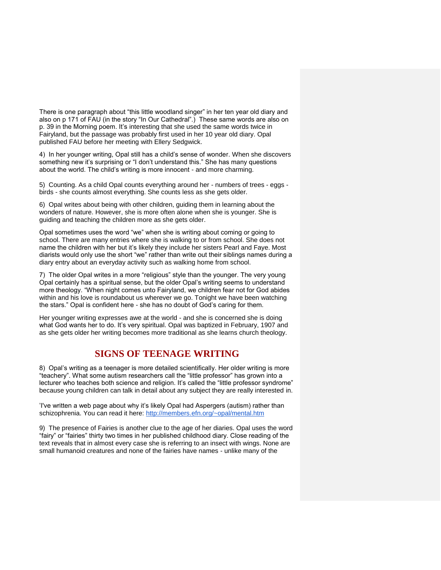There is one paragraph about "this little woodland singer" in her ten year old diary and also on p 171 of FAU (in the story "In Our Cathedral".) These same words are also on p. 39 in the Morning poem. It's interesting that she used the same words twice in Fairyland, but the passage was probably first used in her 10 year old diary. Opal published FAU before her meeting with Ellery Sedgwick.

4) In her younger writing, Opal still has a child's sense of wonder. When she discovers something new it's surprising or "I don't understand this." She has many questions about the world. The child's writing is more innocent - and more charming.

5) Counting. As a child Opal counts everything around her - numbers of trees - eggs birds - she counts almost everything. She counts less as she gets older.

6) Opal writes about being with other children, guiding them in learning about the wonders of nature. However, she is more often alone when she is younger. She is guiding and teaching the children more as she gets older.

Opal sometimes uses the word "we" when she is writing about coming or going to school. There are many entries where she is walking to or from school. She does not name the children with her but it's likely they include her sisters Pearl and Faye. Most diarists would only use the short "we" rather than write out their siblings names during a diary entry about an everyday activity such as walking home from school.

7) The older Opal writes in a more "religious" style than the younger. The very young Opal certainly has a spiritual sense, but the older Opal's writing seems to understand more theology. "When night comes unto Fairyland, we children fear not for God abides within and his love is roundabout us wherever we go. Tonight we have been watching the stars." Opal is confident here - she has no doubt of God's caring for them.

Her younger writing expresses awe at the world - and she is concerned she is doing what God wants her to do. It's very spiritual. Opal was baptized in February, 1907 and as she gets older her writing becomes more traditional as she learns church theology.

## **SIGNS OF TEENAGE WRITING**

8) Opal's writing as a teenager is more detailed scientifically. Her older writing is more "teachery". What some autism researchers call the "little professor" has grown into a lecturer who teaches both science and religion. It's called the "little professor syndrome" because young children can talk in detail about any subject they are really interested in.

'I've written a web page about why it's likely Opal had Aspergers (autism) rather than schizophrenia. You can read it here:<http://members.efn.org/~opal/mental.htm>

9) The presence of Fairies is another clue to the age of her diaries. Opal uses the word "fairy" or "fairies" thirty two times in her published childhood diary. Close reading of the text reveals that in almost every case she is referring to an insect with wings. None are small humanoid creatures and none of the fairies have names - unlike many of the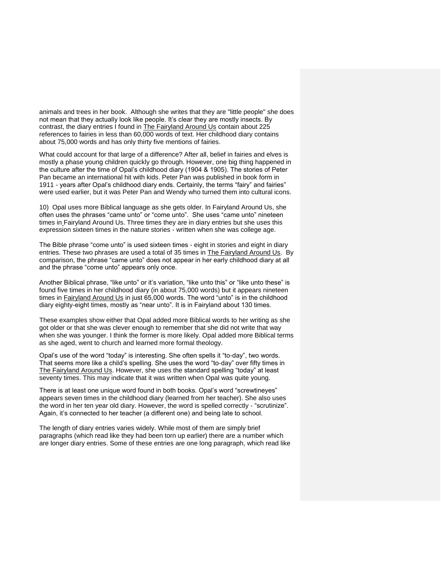animals and trees in her book. Although she writes that they are "little people" she does not mean that they actually look like people. It's clear they are mostly insects. By contrast, the diary entries I found in The Fairyland Around Us contain about 225 references to fairies in less than 60,000 words of text. Her childhood diary contains about 75,000 words and has only thirty five mentions of fairies.

What could account for that large of a difference? After all, belief in fairies and elves is mostly a phase young children quickly go through. However, one big thing happened in the culture after the time of Opal's childhood diary (1904 & 1905). The stories of Peter Pan became an international hit with kids. Peter Pan was published in book form in 1911 - years after Opal's childhood diary ends. Certainly, the terms "fairy" and fairies" were used earlier, but it was Peter Pan and Wendy who turned them into cultural icons.

10) Opal uses more Biblical language as she gets older. In Fairyland Around Us, she often uses the phrases "came unto" or "come unto". She uses "came unto" nineteen times in Fairyland Around Us. Three times they are in diary entries but she uses this expression sixteen times in the nature stories - written when she was college age.

The Bible phrase "come unto" is used sixteen times - eight in stories and eight in diary entries. These two phrases are used a total of 35 times in The Fairyland Around Us. By comparison, the phrase "came unto" does not appear in her early childhood diary at all and the phrase "come unto" appears only once.

Another Biblical phrase, "like unto" or it's variation, "like unto this" or "like unto these" is found five times in her childhood diary (in about 75,000 words) but it appears nineteen times in Fairyland Around Us in just 65,000 words. The word "unto" is in the childhood diary eighty-eight times, mostly as "near unto". It is in Fairyland about 130 times.

These examples show either that Opal added more Biblical words to her writing as she got older or that she was clever enough to remember that she did not write that way when she was younger. I think the former is more likely. Opal added more Biblical terms as she aged, went to church and learned more formal theology.

Opal's use of the word "today" is interesting. She often spells it "to-day", two words. That seems more like a child's spelling. She uses the word "to-day" over fifty times in The Fairyland Around Us. However, she uses the standard spelling "today" at least seventy times. This may indicate that it was written when Opal was quite young.

There is at least one unique word found in both books. Opal's word "screwtineyes" appears seven times in the childhood diary (learned from her teacher). She also uses the word in her ten year old diary. However, the word is spelled correctly - "scrutinize". Again, it's connected to her teacher (a different one) and being late to school.

The length of diary entries varies widely. While most of them are simply brief paragraphs (which read like they had been torn up earlier) there are a number which are longer diary entries. Some of these entries are one long paragraph, which read like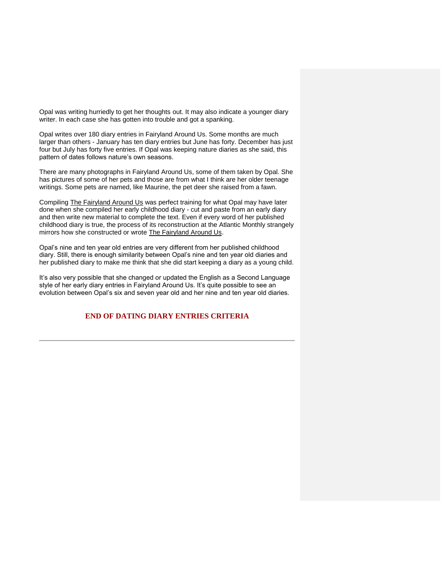Opal was writing hurriedly to get her thoughts out. It may also indicate a younger diary writer. In each case she has gotten into trouble and got a spanking.

Opal writes over 180 diary entries in Fairyland Around Us. Some months are much larger than others - January has ten diary entries but June has forty. December has just four but July has forty five entries. If Opal was keeping nature diaries as she said, this pattern of dates follows nature's own seasons.

There are many photographs in Fairyland Around Us, some of them taken by Opal. She has pictures of some of her pets and those are from what I think are her older teenage writings. Some pets are named, like Maurine, the pet deer she raised from a fawn.

Compiling The Fairyland Around Us was perfect training for what Opal may have later done when she compiled her early childhood diary - cut and paste from an early diary and then write new material to complete the text. Even if every word of her published childhood diary is true, the process of its reconstruction at the Atlantic Monthly strangely mirrors how she constructed or wrote The Fairyland Around Us.

Opal's nine and ten year old entries are very different from her published childhood diary. Still, there is enough similarity between Opal's nine and ten year old diaries and her published diary to make me think that she did start keeping a diary as a young child.

It's also very possible that she changed or updated the English as a Second Language style of her early diary entries in Fairyland Around Us. It's quite possible to see an evolution between Opal's six and seven year old and her nine and ten year old diaries.

## **END OF DATING DIARY ENTRIES CRITERIA**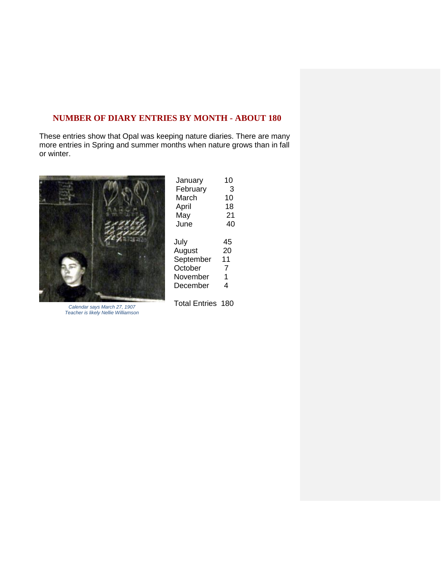## **NUMBER OF DIARY ENTRIES BY MONTH - ABOUT 180**

These entries show that Opal was keeping nature diaries. There are many more entries in Spring and summer months when nature grows than in fall or winter.



Total Entries 180 *Calendar says March 27, 1907 Teacher is likely Nellie Williamson*

| January        | 10 |
|----------------|----|
| February       | 3  |
| March          | 10 |
| April          | 18 |
| May            | 21 |
| June           | 40 |
|                |    |
|                | 45 |
| July<br>August | 20 |
| September      | 11 |
| October        | 7  |
| November       | 1  |
| December       | 4  |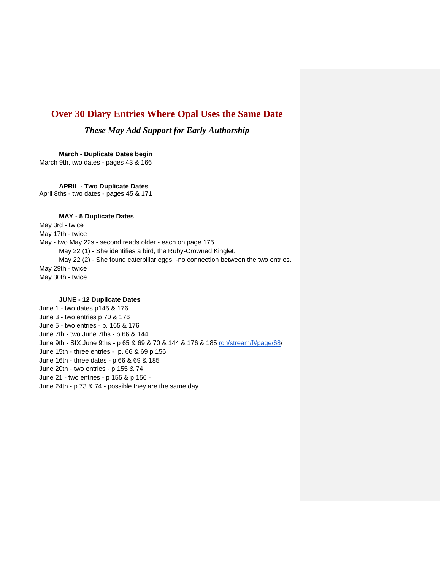## **Over 30 Diary Entries Where Opal Uses the Same Date**

## *These May Add Support for Early Authorship*

**March - Duplicate Dates begin** March 9th, two dates - pages 43 & 166

**APRIL - Two Duplicate Dates** April 8ths - two dates - pages 45 & 171

#### **MAY - 5 Duplicate Dates**

May 3rd - twice May 17th - twice May - two May 22s - second reads older - each on page 175 May 22 (1) - She identifies a bird, the Ruby-Crowned Kinglet. May 22 (2) - She found caterpillar eggs. -no connection between the two entries. May 29th - twice May 30th - twice

#### **JUNE - 12 Duplicate Dates**

June 1 - two dates p145 & 176 June 3 - two entries p 70 & 176 June 5 - two entries - p. 165 & 176 June 7th - two June 7ths - p 66 & 144 June 9th - SIX June 9ths - p 65 & 69 & 70 & 144 & 176 & 185 [rch/stream/f#page/68/](https://archive.org/stream/fairylandaroundu00whit_0#page/68/mode/2up) June 15th - three entries - p. 66 & 69 p 156 June 16th - three dates - p 66 & 69 & 185 June 20th - two entries - p 155 & 74 June 21 - two entries - p 155 & p 156 - June 24th - p 73 & 74 - possible they are the same day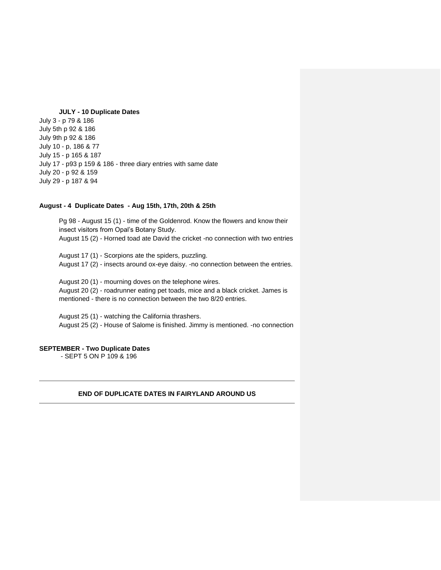#### **JULY - 10 Duplicate Dates**

July 3 - p 79 & 186 July 5th p 92 & 186 July 9th p 92 & 186 July 10 - p, 186 & 77 July 15 - p 165 & 187 July 17 - p93 p 159 & 186 - three diary entries with same date July 20 - p 92 & 159 July 29 - p 187 & 94

#### **August - 4 Duplicate Dates - Aug 15th, 17th, 20th & 25th**

Pg 98 - August 15 (1) - time of the Goldenrod. Know the flowers and know their insect visitors from Opal's Botany Study. August 15 (2) - Horned toad ate David the cricket -no connection with two entries

August 17 (1) - Scorpions ate the spiders, puzzling. August 17 (2) - insects around ox-eye daisy. -no connection between the entries.

August 20 (1) - mourning doves on the telephone wires. August 20 (2) - roadrunner eating pet toads, mice and a black cricket. James is mentioned - there is no connection between the two 8/20 entries.

August 25 (1) - watching the California thrashers. August 25 (2) - House of Salome is finished. Jimmy is mentioned. -no connection

#### **SEPTEMBER - Two Duplicate Dates**

- SEPT 5 ON P 109 & 196

### **END OF DUPLICATE DATES IN FAIRYLAND AROUND US**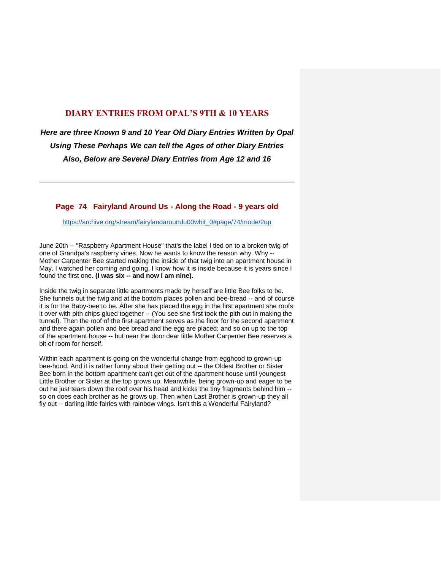## **DIARY ENTRIES FROM OPAL'S 9TH & 10 YEARS**

*Here are three Known 9 and 10 Year Old Diary Entries Written by Opal Using These Perhaps We can tell the Ages of other Diary Entries Also, Below are Several Diary Entries from Age 12 and 16*

## **Page 74 Fairyland Around Us - Along the Road - 9 years old**

[https://archive.org/stream/fairylandaroundu00whit\\_0#page/74/mode/2up](https://archive.org/stream/fairylandaroundu00whit_0#page/74/mode/2up)

June 20th -- "Raspberry Apartment House" that's the label I tied on to a broken twig of one of Grandpa's raspberry vines. Now he wants to know the reason why. Why -- Mother Carpenter Bee started making the inside of that twig into an apartment house in May. I watched her coming and going. I know how it is inside because it is years since I found the first one. **(I was six -- and now I am nine).**

Inside the twig in separate little apartments made by herself are little Bee folks to be. She tunnels out the twig and at the bottom places pollen and bee-bread -- and of course it is for the Baby-bee to be. After she has placed the egg in the first apartment she roofs it over with pith chips glued together -- (You see she first took the pith out in making the tunnel). Then the roof of the first apartment serves as the floor for the second apartment and there again pollen and bee bread and the egg are placed; and so on up to the top of the apartment house -- but near the door dear little Mother Carpenter Bee reserves a bit of room for herself.

Within each apartment is going on the wonderful change from egghood to grown-up bee-hood. And it is rather funny about their getting out -- the Oldest Brother or Sister Bee born in the bottom apartment can't get out of the apartment house until youngest Little Brother or Sister at the top grows up. Meanwhile, being grown-up and eager to be out he just tears down the roof over his head and kicks the tiny fragments behind him - so on does each brother as he grows up. Then when Last Brother is grown-up they all fly out -- darling little fairies with rainbow wings. Isn't this a Wonderful Fairyland?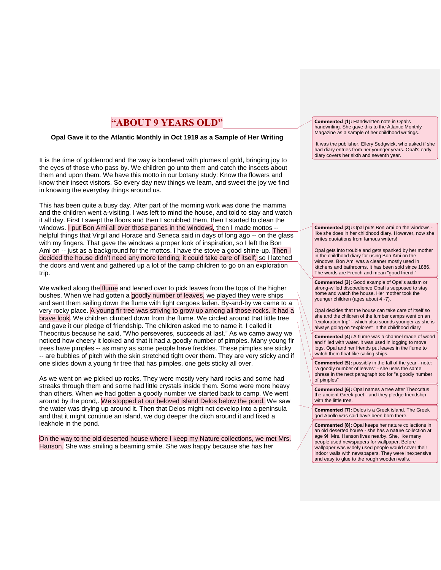## **"ABOUT 9 YEARS OLD"**

#### **Opal Gave it to the Atlantic Monthly in Oct 1919 as a Sample of Her Writing**

It is the time of goldenrod and the way is bordered with plumes of gold, bringing joy to the eyes of those who pass by. We children go unto them and catch the insects about them and upon them. We have this motto in our botany study: Know the flowers and know their insect visitors. So every day new things we learn, and sweet the joy we find in knowing the everyday things around us.

This has been quite a busy day. After part of the morning work was done the mamma and the children went a-visiting. I was left to mind the house, and told to stay and watch it all day. First I swept the floors and then I scrubbed them, then I started to clean the windows. I put Bon Ami all over those panes in the windows, then I made mottos - helpful things that Virgil and Horace and Seneca said in days of long ago -- on the glass with my fingers. That gave the windows a proper look of inspiration, so I left the Bon Ami on -- just as a background for the mottos. I have the stove a good shine-up. Then I decided the house didn't need any more tending; it could take care of itself; so I latched the doors and went and gathered up a lot of the camp children to go on an exploration trip.

We walked along the flume and leaned over to pick leaves from the tops of the higher bushes. When we had gotten a goodly number of leaves, we played they were ships and sent them sailing down the flume with light cargoes laden. By-and-by we came to a very rocky place. A young fir tree was striving to grow up among all those rocks. It had a brave look. We children climbed down from the flume. We circled around that little tree and gave it our pledge of friendship. The children asked me to name it. I called it Theocritus because he said, "Who perseveres, succeeds at last." As we came away we noticed how cheery it looked and that it had a goodly number of pimples. Many young fir trees have pimples -- as many as some people have freckles. These pimples are sticky -- are bubbles of pitch with the skin stretched tight over them. They are very sticky and if one slides down a young fir tree that has pimples, one gets sticky all over.

As we went on we picked up rocks. They were mostly very hard rocks and some had streaks through them and some had little crystals inside them. Some were more heavy than others. When we had gotten a goodly number we started back to camp. We went around by the pond,. We stopped at our beloved island Delos below the pond. We saw the water was drying up around it. Then that Delos might not develop into a peninsula and that it might continue an island, we dug deeper the ditch around it and fixed a leakhole in the pond.

On the way to the old deserted house where I keep my Nature collections, we met Mrs. Hanson. She was smiling a beaming smile. She was happy because she has her

**Commented [1]:** Handwritten note in Opal's handwriting. She gave this to the Atlantic Monthly Magazine as a sample of her childhood writings.

It was the publisher, Ellery Sedgwick, who asked if she had diary entries from her younger years. Opal's early diary covers her sixth and seventh year.

**Commented [2]:** Opal puts Bon Ami on the windows like she does in her childhood diary. However, now she writes quotations from famous writers!

Opal gets into trouble and gets spanked by her mother in the childhood diary for using Bon Ami on the windows. Bon Ami was a cleaner mostly used in kitchens and bathrooms. It has been sold since 1886. The words are French and mean "good friend."

**Commented [3]:** Good example of Opal's autism or strong-willed disobedience Opal is supposed to stay home and watch the house. Her mother took the younger children (ages about 4 -7).

Opal decides that the house can take care of itself so she and the children of the lumber camps went on an "exploration trip" - which also sounds younger as she is always going on "explores" in the childhood diary

**Commented [4]:** A flume was a channel made of wood and filled with water. It was used in logging to move logs. Opal and her friends put leaves in the flume to watch them float like sailing ships.

**Commented [5]:** possibly in the fall of the year - note: "a goodly number of leaves" - she uses the same phrase in the next paragraph too for "a goodly number of pimples"

**Commented [6]:** Opal names a tree after Theocritus the ancient Greek poet - and they pledge friendship with the little tree.

**Commented [7]:** Delos is a Greek island. The Greek god Apollo was said have been born there.

**Commented [8]:** Opal keeps her nature collections in an old deserted house - she has a nature collection at age 9! Mrs. Hanson lives nearby. She, like many people used newspapers for wallpaper. Before wallpaper was widely used people would cover their indoor walls with newspapers. They were inexpensive and easy to glue to the rough wooden walls.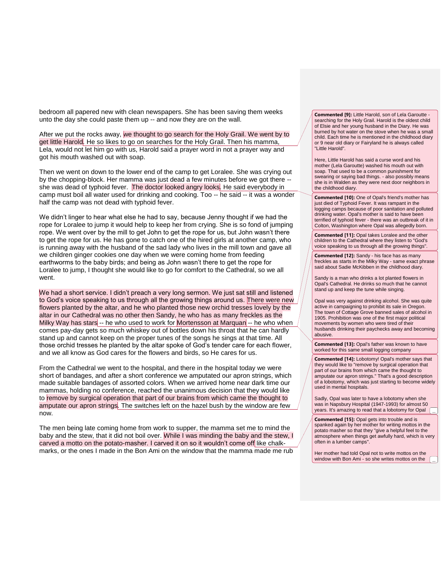bedroom all papered new with clean newspapers. She has been saving them weeks unto the day she could paste them up -- and now they are on the wall.

After we put the rocks away, we thought to go search for the Holy Grail. We went by to get little Harold. He so likes to go on searches for the Holy Grail. Then his mamma, Lela, would not let him go with us, Harold said a prayer word in not a prayer way and got his mouth washed out with soap.

Then we went on down to the lower end of the camp to get Loralee. She was crying out by the chopping-block. Her mamma was just dead a few minutes before we got there - she was dead of typhoid fever. The doctor looked angry looks. He said everybody in camp must boil all water used for drinking and cooking. Too -- he said -- it was a wonder half the camp was not dead with typhoid fever.

We didn't linger to hear what else he had to say, because Jenny thought if we had the rope for Loralee to jump it would help to keep her from crying. She is so fond of jumping rope. We went over by the mill to get John to get the rope for us, but John wasn't there to get the rope for us. He has gone to catch one of the hired girls at another camp, who is running away with the husband of the sad lady who lives in the mill town and gave all we children ginger cookies one day when we were coming home from feeding earthworms to the baby birds; and being as John wasn't there to get the rope for Loralee to jump, I thought she would like to go for comfort to the Cathedral, so we all went.

We had a short service. I didn't preach a very long sermon. We just sat still and listened to God's voice speaking to us through all the growing things around us. There were new flowers planted by the altar, and he who planted those new orchid tresses lovely by the altar in our Cathedral was no other then Sandy, he who has as many freckles as the Milky Way has stars -- he who used to work for Mortensson at Marquan -- he who when comes pay-day gets so much whiskey out of bottles down his throat that he can hardly stand up and cannot keep on the proper tunes of the songs he sings at that time. All those orchid tresses he planted by the altar spoke of God's tender care for each flower, and we all know as God cares for the flowers and birds, so He cares for us.

From the Cathedral we went to the hospital, and there in the hospital today we were short of bandages, and after a short conference we amputated our apron strings, which made suitable bandages of assorted colors. When we arrived home near dark time our mammas, holding no conference, reached the unanimous decision that they would like to remove by surgical operation that part of our brains from which came the thought to amputate our apron strings. The switches left on the hazel bush by the window are few now.

The men being late coming home from work to supper, the mamma set me to mind the baby and the stew, that it did not boil over. While I was minding the baby and the stew, I carved a motto on the potato-masher. I carved it on so it wouldn't come off like chalkmarks, or the ones I made in the Bon Ami on the window that the mamma made me rub **Commented [9]:** Little Harold, son of Lela Garoutte searching for the Holy Grail. Harold is the oldest child of Elsie and her young husband in the Diary. He was burned by hot water on the stove when he was a small child. Each time he is mentioned in the childhood diary or 9 near old diary or Fairyland he is always called "Little Harold".

Here, Little Harold has said a curse word and his mother (Lela Garoutte) washed his mouth out with soap. That used to be a common punishment for swearing or saying bad things. - also possibly means she is in Walden as they were next door neighbors in the childhood diary.

**Commented [10]:** One of Opal's friend's mother has just died of Typhoid Fever. It was rampant in the logging camps because of poor sanitation and polluted drinking water. Opal's mother is said to have been terrified of typhoid fever - there was an outbreak of it in Colton, Washington where Opal was allegedly born.

**Commented [11]:** Opal takes Loralee and the other children to the Cathedral where they listen to "God's voice speaking to us through all the growing things".

**Commented [12]:** Sandy - his face has as many freckles as starts in the Milky Way - same exact phrase said about Sadie McKibben in the childhood diary.

Sandy is a man who drinks a lot planted flowers in Opal's Cathedral. He drinks so much that he cannot stand up and keep the tune while singing.

Opal was very against drinking alcohol. She was quite active in campaigning to prohibit its sale in Oregon. The town of Cottage Grove banned sales of alcohol in 1905. Prohibition was one of the first major political movements by women who were tired of their husbands drinking their paychecks away and becoming abusive.

**Commented [13]:** Opal's father was known to have worked for this same small logging company

**Commented [14]:** Lobotomy! Opal's mother says that they would like to "remove by surgical operation that part of our brains from which came the thought to amputate our apron strings." That's a good description of a lobotomy, which was just starting to become widely used in mental hospitals.

Sadly, Opal was later to have a lobotomy when she was in Napsbury Hospital (1947-1993) for almost 50 years. It's amazing to read that a lobotomy for Opal ...

**Commented [15]:** Opal gets into trouble and is spanked again by her mother for writing mottos in the potato masher so that they "give a helpful feel to the atmosphere when things get awfully hard, which is very often in a lumber camps".

Her mother had told Opal not to write mottos on the window with Bon Ami - so she writes mottos on the

...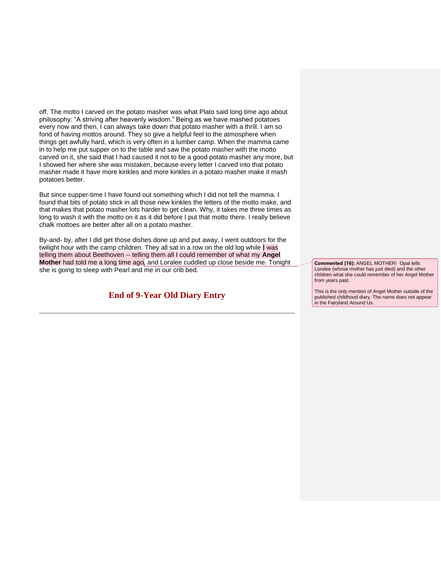off. The motto I carved on the potato masher was what Plato said long time ago about philosophy: "A striving after heavenly wisdom." Being as we have mashed potatoes every now and then, I can always take down that potato masher with a thrill. I am so fond of having mottos around. They so give a helpful feel to the atmosphere when things get awfully hard, which is very often in a lumber camp. When the mamma came in to help me put supper on to the table and saw the potato masher with the motto carved on it, she said that I had caused it not to be a good potato masher any more, but I showed her where she was mistaken, because every letter I carved into that potato masher made it have more kinkles and more kinkles in a potato masher make it mash potatoes better.

But since supper-time I have found out something which I did not tell the mamma. I found that bits of potato stick in all those new kinkles the letters of the motto make, and that makes that potato masher lots harder to get clean. Why, it takes me three times as long to wash it with the motto on it as it did before I put that motto there. I really believe chalk mottoes are better after all on a potato masher.

By-and- by, after I did get those dishes done up and put away, I went outdoors for the twilight hour with the camp children. They all sat in a row on the old log while I was telling them about Beethoven -- telling them all I could remember of what my **Angel Mother** had told me a long time ago, and Loralee cuddled up close beside me. Tonight she is going to sleep with Pearl and me in our crib bed.

## **End of 9-Year Old Diary Entry**

**Commented [16]:** ANGEL MOTHER! Opal tells Loralee (whose mother has just died) and the other children what she could remember of her Angel Mother from years past.

This is the only mention of Angel Mother outside of the published childhood diary. The name does not appear in the Fairyland Around Us.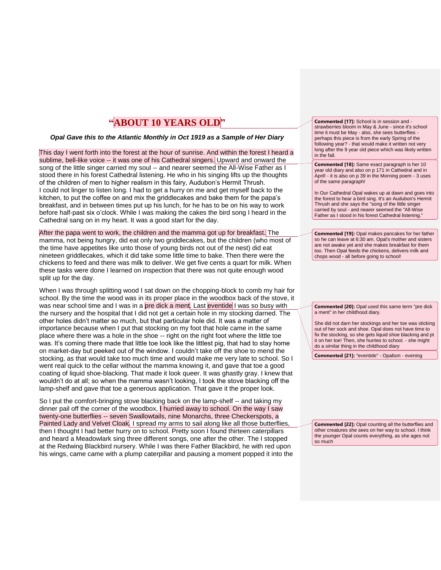# **"ABOUT 10 YEARS OLD"**

#### *Opal Gave this to the Atlantic Monthly in Oct 1919 as a Sample of Her Diary*

This day I went forth into the forest at the hour of sunrise. And within the forest I heard a sublime, bell-like voice -- it was one of his Cathedral singers. Upward and onward the song of the little singer carried my soul -- and nearer seemed the All-Wise Father as I stood there in his forest Cathedral listening. He who in his singing lifts up the thoughts of the children of men to higher realism in this fairy, Audubon's Hermit Thrush. I could not linger to listen long. I had to get a hurry on me and get myself back to the kitchen, to put the coffee on and mix the griddlecakes and bake them for the papa's breakfast, and in between times put up his lunch, for he has to be on his way to work before half-past six o'clock. While I was making the cakes the bird song I heard in the Cathedral sang on in my heart. It was a good start for the day.

After the papa went to work, the children and the mamma got up for breakfast. The mamma, not being hungry, did eat only two griddlecakes, but the children (who most of the time have appetites like unto those of young birds not out of the nest) did eat nineteen griddlecakes, which it did take some little time to bake. Then there were the chickens to feed and there was milk to deliver. We get five cents a quart for milk. When these tasks were done I learned on inspection that there was not quite enough wood split up for the day.

When I was through splitting wood I sat down on the chopping-block to comb my hair for school. By the time the wood was in its proper place in the woodbox back of the stove, it was near school time and I was in a pre dick a ment. Last eventide I was so busy with the nursery and the hospital that I did not get a certain hole in my stocking darned. The other holes didn't matter so much, but that particular hole did. It was a matter of importance because when I put that stocking on my foot that hole came in the same place where there was a hole in the shoe -- right on the right foot where the little toe was. It's coming there made that little toe look like the littlest pig, that had to stay home on market-day but peeked out of the window. I couldn't take off the shoe to mend the stocking, as that would take too much time and would make me very late to school. So I went real quick to the cellar without the mamma knowing it, and gave that toe a good coating of liquid shoe-blacking. That made it look queer. It was ghastly gray. I knew that wouldn't do at all; so when the mamma wasn't looking, I took the stove blacking off the lamp-shelf and gave that toe a generous application. That gave it the proper look.

So I put the comfort-bringing stove blacking back on the lamp-shelf -- and taking my dinner pail off the corner of the woodbox, I hurried away to school. On the way I saw twenty-one butterflies -- seven Swallowtails, nine Monarchs, three Checkerspots, a Painted Lady and Velvet Cloak. I spread my arms to sail along like all those butterflies, then I thought I had better hurry on to school. Pretty soon I found thirteen caterpillars and heard a Meadowlark sing three different songs, one after the other. The I stopped at the Redwing Blackbird nursery. While I was there Father Blackbird, he with red upon his wings, came came with a plump caterpillar and pausing a moment popped it into the

**Commented [17]:** School is in session and strawberries bloom in May & June - since it's school time it must be May - also, she sees butterflies perhaps this piece is from the early Spring of the following year? - that would make it written not very long after the 9 year old piece which was likely written in the fall.

**Commented [18]:** Same exact paragraph is her 10 year old diary and also on p 171 in Cathedral and in April! - it is also on p 39 in the Morning poem - 3 uses of the same paragraph!

In Our Cathedral Opal wakes up at dawn and goes into the forest to hear a bird sing. It's an Audubon's Hermit Thrush and she says the "song of the little singer carried by soul - and nearer seemed the "All-Wise Father as I stood in his forest Cathedral listening."

**Commented [19]:** Opal makes pancakes for her father so he can leave at 6:30 am. Opal's mother and sisters are not awake yet and she makes breakfast for them too. Then Opal feeds the chickens, delivers milk and chops wood - all before going to school!

**Commented [20]:** Opal used this same term "pre dick a ment" in her childhood diary.

She did not darn her stockings and her toe was sticking out of her sock and shoe. Opal does not have time to fix the stocking, so she gets liquid shoe blacking and pt it on her toe! Then, she hurries to school. - she might do a similar thing in the childhood diary

**Commented [21]:** "eventide" - Opalism - evening

**Commented [22]:** Opal counting all the butterflies and other creatures she sees on her way to school. I think the younger Opal counts everything, as she ages not so much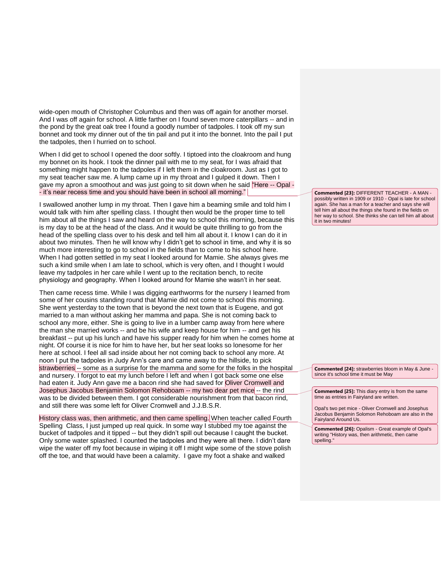wide-open mouth of Christopher Columbus and then was off again for another morsel. And I was off again for school. A little farther on I found seven more caterpillars -- and in the pond by the great oak tree I found a goodly number of tadpoles. I took off my sun bonnet and took my dinner out of the tin pail and put it into the bonnet. Into the pail I put the tadpoles, then I hurried on to school.

When I did get to school I opened the door softly. I tiptoed into the cloakroom and hung my bonnet on its hook. I took the dinner pail with me to my seat, for I was afraid that something might happen to the tadpoles if I left them in the cloakroom. Just as I got to my seat teacher saw me. A lump came up in my throat and I gulped it down. Then I gave my apron a smoothout and was just going to sit down when he said "Here -- Opal - - it's near recess time and you should have been in school all morning."

I swallowed another lump in my throat. Then I gave him a beaming smile and told him I would talk with him after spelling class. I thought then would be the proper time to tell him about all the things I saw and heard on the way to school this morning, because this is my day to be at the head of the class. And it would be quite thrilling to go from the head of the spelling class over to his desk and tell him all about it. I know I can do it in about two minutes. Then he will know why I didn't get to school in time, and why it is so much more interesting to go to school in the fields than to come to his school here. When I had gotten settled in my seat I looked around for Mamie. She always gives me such a kind smile when I am late to school, which is very often, and I thought I would leave my tadpoles in her care while I went up to the recitation bench, to recite physiology and geography. When I looked around for Mamie she wasn't in her seat.

Then came recess time. While I was digging earthworms for the nursery I learned from some of her cousins standing round that Mamie did not come to school this morning. She went yesterday to the town that is beyond the next town that is Eugene, and got married to a man without asking her mamma and papa. She is not coming back to school any more, either. She is going to live in a lumber camp away from here where the man she married works -- and be his wife and keep house for him -- and get his breakfast -- put up his lunch and have his supper ready for him when he comes home at night. Of course it is nice for him to have her, but her seat looks so lonesome for her here at school. I feel all sad inside about her not coming back to school any more. At noon I put the tadpoles in Judy Ann's care and came away to the hillside, to pick strawberries -- some as a surprise for the mamma and some for the folks in the hospital and nursery. I forgot to eat my lunch before I left and when I got back some one else had eaten it. Judy Ann gave me a bacon rind she had saved for Oliver Cromwell and Josephus Jacobus Benjamin Solomon Rehoboam -- my two dear pet mice -- the rind was to be divided between them. I got considerable nourishment from that bacon rind, and still there was some left for Oliver Cromwell and J.J.B.S.R.

History class was, then arithmetic, and then came spelling. When teacher called Fourth Spelling Class, I just jumped up real quick. In some way I stubbed my toe against the bucket of tadpoles and it tipped -- but they didn't spill out because I caught the bucket. Only some water splashed. I counted the tadpoles and they were all there. I didn't dare wipe the water off my foot because in wiping it off I might wipe some of the stove polish off the toe, and that would have been a calamity. I gave my foot a shake and walked

**Commented [23]:** DIFFERENT TEACHER - A MAN possibly written in 1909 or 1910 - Opal is late for school again. She has a man for a teacher and says she will tell him all about the things she found in the fields on her way to school. She thinks she can tell him all about it in two minutes!

**Commented [24]:** strawberries bloom in May & June since it's school time it must be May

**Commented [25]:** This diary entry is from the same time as entries in Fairyland are written.

Opal's two pet mice - Oliver Cromwell and Josephus Jacobus Benjamin Solomon Rehoboam are also in the Fairyland Around Us.

**Commented [26]:** Opalism - Great example of Opal's writing "History was, then arithmetic, then came spelling."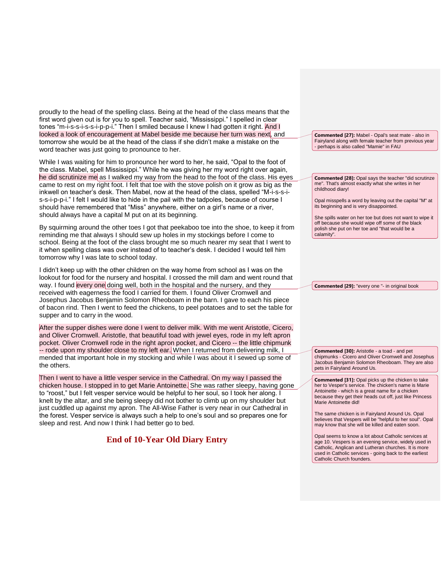proudly to the head of the spelling class. Being at the head of the class means that the first word given out is for you to spell. Teacher said, "Mississippi." I spelled in clear tones "m-i-s-s-i-s-s-i-p-p-i." Then I smiled because I knew I had gotten it right. And I looked a look of encouragement at Mabel beside me because her turn was next, and tomorrow she would be at the head of the class if she didn't make a mistake on the word teacher was just going to pronounce to her.

While I was waiting for him to pronounce her word to her, he said, "Opal to the foot of the class. Mabel, spell Mississippi." While he was giving her my word right over again, he did scrutinize me as I walked my way from the head to the foot of the class. His eyes came to rest on my right foot. I felt that toe with the stove polish on it grow as big as the inkwell on teacher's desk. Then Mabel, now at the head of the class, spelled "M-i-s-s-is-s-i-p-p-i." I felt I would like to hide in the pail with the tadpoles, because of course I should have remembered that "Miss" anywhere, either on a girl's name or a river, should always have a capital M put on at its beginning.

By squirming around the other toes I got that peekaboo toe into the shoe, to keep it from reminding me that always I should sew up holes in my stockings before I come to school. Being at the foot of the class brought me so much nearer my seat that I went to it when spelling class was over instead of to teacher's desk. I decided I would tell him tomorrow why I was late to school today.

I didn't keep up with the other children on the way home from school as I was on the lookout for food for the nursery and hospital. I crossed the mill dam and went round that way. I found every one doing well, both in the hospital and the nursery, and they received with eagerness the food I carried for them. I found Oliver Cromwell and Josephus Jacobus Benjamin Solomon Rheoboam in the barn. I gave to each his piece of bacon rind. Then I went to feed the chickens, to peel potatoes and to set the table for supper and to carry in the wood.

After the supper dishes were done I went to deliver milk. With me went Aristotle, Cicero, and Oliver Cromwell. Aristotle, that beautiful toad with jewel eyes, rode in my left apron pocket. Oliver Cromwell rode in the right apron pocket, and Cicero -- the little chipmunk -- rode upon my shoulder close to my left ear. When I returned from delivering milk, I mended that important hole in my stocking and while I was about it I sewed up some of the others.

Then I went to have a little vesper service in the Cathedral. On my way I passed the chicken house. I stopped in to get Marie Antoinette. She was rather sleepy, having gone to "roost," but I felt vesper service would be helpful to her soul, so I took her along. I knelt by the altar, and she being sleepy did not bother to climb up on my shoulder but just cuddled up against my apron. The All-Wise Father is very near in our Cathedral in the forest. Vesper service is always such a help to one's soul and so prepares one for sleep and rest. And now I think I had better go to bed.

## **End of 10-Year Old Diary Entry**

**Commented [27]:** Mabel - Opal's seat mate - also in Fairyland along with female teacher from previous year - perhaps is also called "Mamie" in FAU

**Commented [28]:** Opal says the teacher "did scrutinze me". That's almost exactly what she writes in her childhood diary!

Opal misspells a word by leaving out the capital "M" at its beginning and is very disappointed.

She spills water on her toe but does not want to wipe it off because she would wipe off some of the black polish she put on her toe and "that would be a calamity".

**Commented [29]:** "every one "- in original book

**Commented [30]:** Aristotle - a toad - and pet chipmunks - Cicero and Oliver Cromwell and Josephus Jacobus Benjamin Solomon Rheoboam. They are also pets in Fairyland Around Us.

**Commented [31]:** Opal picks up the chicken to take her to Vesper's service. The chicken's name is Marie Antoinette - which is a great name for a chicken because they get their heads cut off, just like Princess Marie Antoinette did!

The same chicken is in Fairyland Around Us. Opal believes that Vespers will be "helpful to her soul". Opal may know that she will be killed and eaten soon.

Opal seems to know a lot about Catholic services at age 10. Vespers is an evening service, widely used in Catholic, Anglican and Lutheran churches. It is more used in Catholic services - going back to the earliest Catholic Church founders.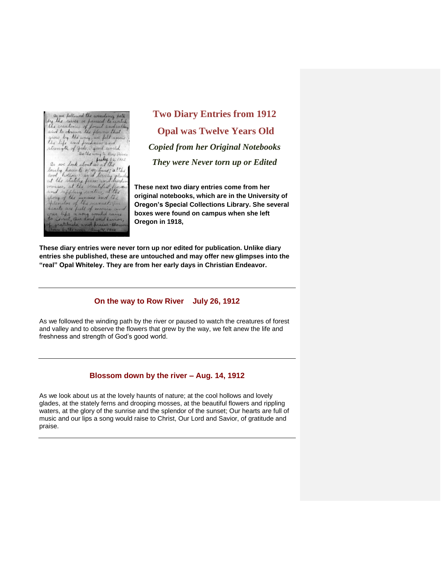

# **Two Diary Entries from 1912 Opal was Twelve Years Old** *Copied from her Original Notebooks They were Never torn up or Edited*

**These next two diary entries come from her original notebooks, which are in the University of Oregon's Special Collections Library. She several boxes were found on campus when she left Oregon in 1918,**

**These diary entries were never torn up nor edited for publication. Unlike diary entries she published, these are untouched and may offer new glimpses into the "real" Opal Whiteley. They are from her early days in Christian Endeavor.**

## **On the way to Row River July 26, 1912**

As we followed the winding path by the river or paused to watch the creatures of forest and valley and to observe the flowers that grew by the way, we felt anew the life and freshness and strength of God's good world.

## **Blossom down by the river – Aug. 14, 1912**

As we look about us at the lovely haunts of nature; at the cool hollows and lovely glades, at the stately ferns and drooping mosses, at the beautiful flowers and rippling waters, at the glory of the sunrise and the splendor of the sunset; Our hearts are full of music and our lips a song would raise to Christ, Our Lord and Savior, of gratitude and praise.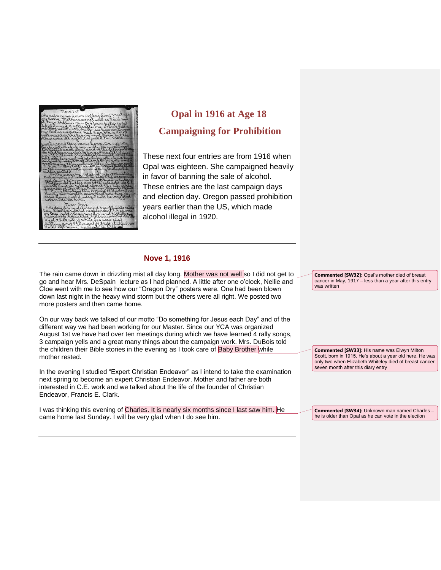

## **Opal in 1916 at Age 18**

## **Campaigning for Prohibition**

These next four entries are from 1916 when Opal was eighteen. She campaigned heavily in favor of banning the sale of alcohol. These entries are the last campaign days and election day. Oregon passed prohibition years earlier than the US, which made alcohol illegal in 1920.

## **Nove 1, 1916**

The rain came down in drizzling mist all day long. Mother was not well so I did not get to go and hear Mrs. DeSpain lecture as I had planned. A little after one o'clock, Nellie and Cloe went with me to see how our "Oregon Dry" posters were. One had been blown down last night in the heavy wind storm but the others were all right. We posted two more posters and then came home.

On our way back we talked of our motto "Do something for Jesus each Day" and of the different way we had been working for our Master. Since our YCA was organized August 1st we have had over ten meetings during which we have learned 4 rally songs, 3 campaign yells and a great many things about the campaign work. Mrs. DuBois told the children their Bible stories in the evening as I took care of Baby Brother while mother rested.

In the evening I studied "Expert Christian Endeavor" as I intend to take the examination next spring to become an expert Christian Endeavor. Mother and father are both interested in C.E. work and we talked about the life of the founder of Christian Endeavor, Francis E. Clark.

I was thinking this evening of Charles. It is nearly six months since I last saw him. He came home last Sunday. I will be very glad when I do see him.

**Commented [SW32]:** Opal's mother died of breast cancer in May, 1917 – less than a year after this entry was written

**Commented [SW33]:** His name was Elwyn Milton Scott, born in 1915. He's about a year old here. He was only two when Elizabeth Whiteley died of breast cancer seven month after this diary entry

**Commented [SW34]:** Unknown man named Charles – he is older than Opal as he can vote in the election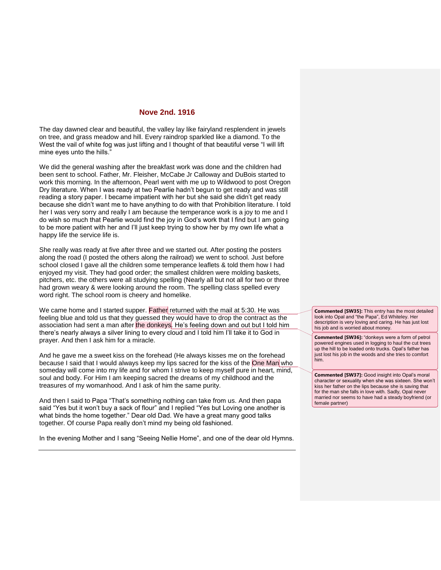#### **Nove 2nd. 1916**

The day dawned clear and beautiful, the valley lay like fairyland resplendent in jewels on tree, and grass meadow and hill. Every raindrop sparkled like a diamond. To the West the vail of white fog was just lifting and I thought of that beautiful verse "I will lift mine eyes unto the hills."

We did the general washing after the breakfast work was done and the children had been sent to school. Father, Mr. Fleisher, McCabe Jr Calloway and DuBois started to work this morning. In the afternoon, Pearl went with me up to Wildwood to post Oregon Dry literature. When I was ready at two Pearlie hadn't begun to get ready and was still reading a story paper. I became impatient with her but she said she didn't get ready because she didn't want me to have anything to do with that Prohibition literature. I told her I was very sorry and really I am because the temperance work is a joy to me and I do wish so much that Pearlie would find the joy in God's work that I find but I am going to be more patient with her and I'll just keep trying to show her by my own life what a happy life the service life is.

She really was ready at five after three and we started out. After posting the posters along the road (I posted the others along the railroad) we went to school. Just before school closed I gave all the children some temperance leaflets & told them how I had enjoyed my visit. They had good order; the smallest children were molding baskets, pitchers, etc. the others were all studying spelling (Nearly all but not all for two or three had grown weary & were looking around the room. The spelling class spelled every word right. The school room is cheery and homelike.

We came home and I started supper. Father returned with the mail at 5:30. He was feeling blue and told us that they guessed they would have to drop the contract as the association had sent a man after the donkeys. He's feeling down and out but I told him there's nearly always a silver lining to every cloud and I told him I'll take it to God in prayer. And then I ask him for a miracle.

And he gave me a sweet kiss on the forehead (He always kisses me on the forehead because I said that I would always keep my lips sacred for the kiss of the One Man who someday will come into my life and for whom I strive to keep myself pure in heart, mind, soul and body. For Him I am keeping sacred the dreams of my childhood and the treasures of my womanhood. And I ask of him the same purity.

And then I said to Papa "That's something nothing can take from us. And then papa said "Yes but it won't buy a sack of flour" and I replied "Yes but Loving one another is what binds the home together." Dear old Dad. We have a great many good talks together. Of course Papa really don't mind my being old fashioned.

In the evening Mother and I sang "Seeing Nellie Home", and one of the dear old Hymns.

**Commented [SW35]:** This entry has the most detailed look into Opal and "the Papa", Ed Whiteley. Her description is very loving and caring. He has just lost his job and is worried about money.

**Commented [SW36]:** "donkeys were a form of petrol powered engines used in logging to haul the cut trees up the hill to be loaded onto trucks. Opal's father has just lost his job in the woods and she tries to comfort him.

**Commented [SW37]:** Good insight into Opal's moral character or sexuality when she was sixteen. She won't kiss her father on the lips because she is saving that for the man she falls in love with. Sadly, Opal never married nor seems to have had a steady boyfriend (or female partner)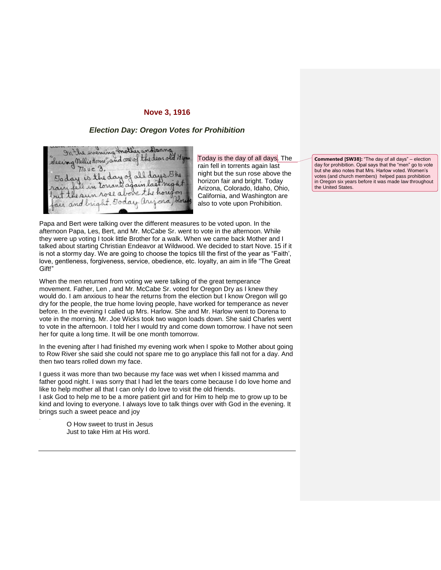## **Nove 3, 1916**

## *Election Day: Oregon Votes for Prohibition*

be evening mother and sang In the evening mother and same<br>Seeing Mellie Home", and one of the dear old Hyme<br>To day is the day of all days. Bhe<br>rain fell in torrant again last might<br>fut the sun rose above the horizon ais and bright. Today anjona

Today is the day of all days. The rain fell in torrents again last night but the sun rose above the horizon fair and bright. Today Arizona, Colorado, Idaho, Ohio, California, and Washington are also to vote upon Prohibition.

day for prohibition. Opal says that the "men" go to vote but she also notes that Mrs. Harlow voted. Women's votes (and church members) helped pass prohibition in Oregon six years before it was made law throughout the United States.

**Commented [SW38]:** "The day of all days" – election

Papa and Bert were talking over the different measures to be voted upon. In the afternoon Papa, Les, Bert, and Mr. McCabe Sr. went to vote in the afternoon. While they were up voting I took little Brother for a walk. When we came back Mother and I talked about starting Christian Endeavor at Wildwood. We decided to start Nove. 15 if it is not a stormy day. We are going to choose the topics till the first of the year as "Faith', love, gentleness, forgiveness, service, obedience, etc. loyalty, an aim in life "The Great Gift!"

When the men returned from voting we were talking of the great temperance movement. Father, Len , and Mr. McCabe Sr. voted for Oregon Dry as I knew they would do. I am anxious to hear the returns from the election but I know Oregon will go dry for the people, the true home loving people, have worked for temperance as never before. In the evening I called up Mrs. Harlow. She and Mr. Harlow went to Dorena to vote in the morning. Mr. Joe Wicks took two wagon loads down. She said Charles went to vote in the afternoon. I told her I would try and come down tomorrow. I have not seen her for quite a long time. It will be one month tomorrow.

In the evening after I had finished my evening work when I spoke to Mother about going to Row River she said she could not spare me to go anyplace this fall not for a day. And then two tears rolled down my face.

I guess it was more than two because my face was wet when I kissed mamma and father good night. I was sorry that I had let the tears come because I do love home and like to help mother all that I can only I do love to visit the old friends.

I ask God to help me to be a more patient girl and for Him to help me to grow up to be kind and loving to everyone. I always love to talk things over with God in the evening. It brings such a sweet peace and joy .

> O How sweet to trust in Jesus Just to take Him at His word.